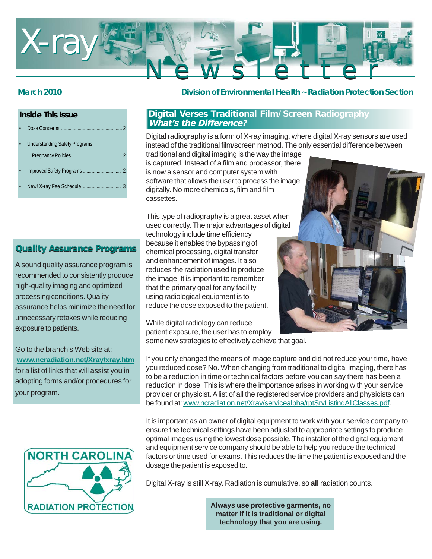

## **Inside This Issue**

|  | <b>Understanding Safety Programs:</b> |
|--|---------------------------------------|
|  |                                       |
|  |                                       |
|  |                                       |

New! X-ray Fee Schedule .......

# **Quality Assurance Programs**

A sound quality assurance program is recommended to consistently produce high-quality imaging and optimized processing conditions. Quality assurance helps minimize the need for unnecessary retakes while reducing exposure to patients.

Go to the branch's Web site at: **www.ncradiation.net/Xray/xray.htm** for a list of links that will assist you in adopting forms and/or procedures for your program.



## **March 2010 Division of Environmental Health ~ Radiation Protection Section**

## **Digital Verses Traditional Film/Screen Radiography What's the Difference?**

Digital radiography is a form of X-ray imaging, where digital X-ray sensors are used instead of the traditional film/screen method. The only essential difference between

traditional and digital imaging is the way the image is captured. Instead of a film and processor, there is now a sensor and computer system with software that allows the user to process the image digitally. No more chemicals, film and film cassettes.

This type of radiography is a great asset when used correctly. The major advantages of digital

technology include time efficiency because it enables the bypassing of chemical processing, digital transfer and enhancement of images. It also reduces the radiation used to produce the image! It is important to remember that the primary goal for any facility using radiological equipment is to reduce the dose exposed to the patient.

While digital radiology can reduce patient exposure, the user has to employ some new strategies to effectively achieve that goal.



If you only changed the means of image capture and did not reduce your time, have you reduced dose? No. When changing from traditional to digital imaging, there has to be a reduction in time or technical factors before you can say there has been a reduction in dose. This is where the importance arises in working with your service provider or physicist. A list of all the registered service providers and physicists can be found at: www.ncradiation.net/Xray/servicealpha/rptSrvListingAllClasses.pdf.

It is important as an owner of digital equipment to work with your service company to ensure the technical settings have been adjusted to appropriate settings to produce optimal images using the lowest dose possible. The installer of the digital equipment and equipment service company should be able to help you reduce the technical factors or time used for exams. This reduces the time the patient is exposed and the dosage the patient is exposed to.

Digital X-ray is still X-ray. Radiation is cumulative, so **all** radiation counts.

**Always use protective garments, no matter if it is traditional or digital technology that you are using.**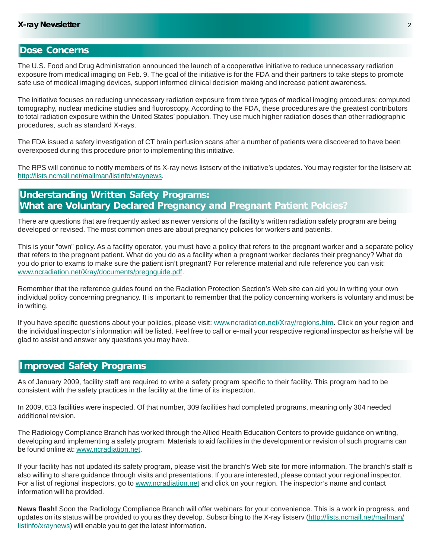## **Dose Concerns**

The U.S. Food and Drug Administration announced the launch of a cooperative initiative to reduce unnecessary radiation exposure from medical imaging on Feb. 9. The goal of the initiative is for the FDA and their partners to take steps to promote safe use of medical imaging devices, support informed clinical decision making and increase patient awareness.

The initiative focuses on reducing unnecessary radiation exposure from three types of medical imaging procedures: computed tomography, nuclear medicine studies and fluoroscopy. According to the FDA, these procedures are the greatest contributors to total radiation exposure within the United States' population. They use much higher radiation doses than other radiographic procedures, such as standard X-rays.

The FDA issued a safety investigation of CT brain perfusion scans after a number of patients were discovered to have been overexposed during this procedure prior to implementing this initiative.

The RPS will continue to notify members of its X-ray news listserv of the initiative's updates. You may register for the listserv at: http://lists.ncmail.net/mailman/listinfo/xraynews.

# **Understanding Written Safety Programs: What are Voluntary Declared Pregnancy and Pregnant Patient Polcies?**

There are questions that are frequently asked as newer versions of the facility's written radiation safety program are being developed or revised. The most common ones are about pregnancy policies for workers and patients.

This is your "own" policy. As a facility operator, you must have a policy that refers to the pregnant worker and a separate policy that refers to the pregnant patient. What do you do as a facility when a pregnant worker declares their pregnancy? What do you do prior to exams to make sure the patient isn't pregnant? For reference material and rule reference you can visit: www.ncradiation.net/Xray/documents/pregnguide.pdf.

Remember that the reference guides found on the Radiation Protection Section's Web site can aid you in writing your own individual policy concerning pregnancy. It is important to remember that the policy concerning workers is voluntary and must be in writing.

If you have specific questions about your policies, please visit: www.ncradiation.net/Xray/regions.htm. Click on your region and the individual inspector's information will be listed. Feel free to call or e-mail your respective regional inspector as he/she will be glad to assist and answer any questions you may have.

## **Improved Safety Programs**

As of January 2009, facility staff are required to write a safety program specific to their facility. This program had to be consistent with the safety practices in the facility at the time of its inspection.

In 2009, 613 facilities were inspected. Of that number, 309 facilities had completed programs, meaning only 304 needed additional revision.

The Radiology Compliance Branch has worked through the Allied Health Education Centers to provide guidance on writing, developing and implementing a safety program. Materials to aid facilities in the development or revision of such programs can be found online at: www.ncradiation.net.

If your facility has not updated its safety program, please visit the branch's Web site for more information. The branch's staff is also willing to share guidance through visits and presentations. If you are interested, please contact your regional inspector. For a list of regional inspectors, go to www.ncradiation.net and click on your region. The inspector's name and contact information will be provided.

**News flash!** Soon the Radiology Compliance Branch will offer webinars for your convenience. This is a work in progress, and updates on its status will be provided to you as they develop. Subscribing to the X-ray listserv (http://lists.ncmail.net/mailman/ listinfo/xraynews) will enable you to get the latest information.